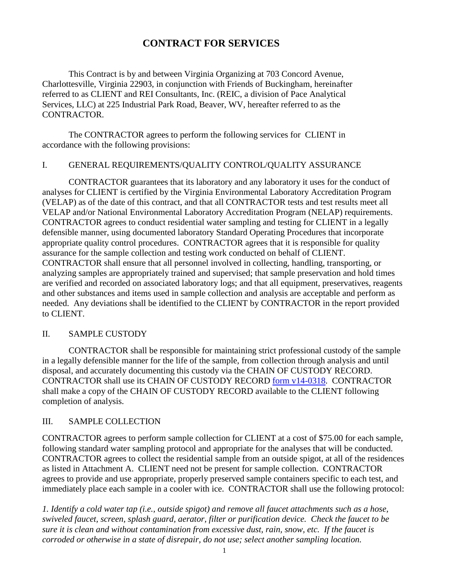# **CONTRACT FOR SERVICES**

This Contract is by and between Virginia Organizing at 703 Concord Avenue, Charlottesville, Virginia 22903, in conjunction with Friends of Buckingham, hereinafter referred to as CLIENT and REI Consultants, Inc. (REIC, a division of Pace Analytical Services, LLC) at 225 Industrial Park Road, Beaver, WV, hereafter referred to as the CONTRACTOR.

The CONTRACTOR agrees to perform the following services for CLIENT in accordance with the following provisions:

#### I. GENERAL REQUIREMENTS/QUALITY CONTROL/QUALITY ASSURANCE

CONTRACTOR guarantees that its laboratory and any laboratory it uses for the conduct of analyses for CLIENT is certified by the Virginia Environmental Laboratory Accreditation Program (VELAP) as of the date of this contract, and that all CONTRACTOR tests and test results meet all VELAP and/or National Environmental Laboratory Accreditation Program (NELAP) requirements. CONTRACTOR agrees to conduct residential water sampling and testing for CLIENT in a legally defensible manner, using documented laboratory Standard Operating Procedures that incorporate appropriate quality control procedures. CONTRACTOR agrees that it is responsible for quality assurance for the sample collection and testing work conducted on behalf of CLIENT. CONTRACTOR shall ensure that all personnel involved in collecting, handling, transporting, or analyzing samples are appropriately trained and supervised; that sample preservation and hold times are verified and recorded on associated laboratory logs; and that all equipment, preservatives, reagents and other substances and items used in sample collection and analysis are acceptable and perform as needed. Any deviations shall be identified to the CLIENT by CONTRACTOR in the report provided to CLIENT.

### II. SAMPLE CUSTODY

CONTRACTOR shall be responsible for maintaining strict professional custody of the sample in a legally defensible manner for the life of the sample, from collection through analysis and until disposal, and accurately documenting this custody via the CHAIN OF CUSTODY RECORD. CONTRACTOR shall use its CHAIN OF CUSTODY RECORD form v14-0318. CONTRACTOR shall make a copy of the CHAIN OF CUSTODY RECORD available to the CLIENT following completion of analysis.

### III. SAMPLE COLLECTION

CONTRACTOR agrees to perform sample collection for CLIENT at a cost of \$75.00 for each sample, following standard water sampling protocol and appropriate for the analyses that will be conducted. CONTRACTOR agrees to collect the residential sample from an outside spigot, at all of the residences as listed in Attachment A. CLIENT need not be present for sample collection. CONTRACTOR agrees to provide and use appropriate, properly preserved sample containers specific to each test, and immediately place each sample in a cooler with ice. CONTRACTOR shall use the following protocol:

*1. Identify a cold water tap (i.e., outside spigot) and remove all faucet attachments such as a hose, swiveled faucet, screen, splash guard, aerator, filter or purification device. Check the faucet to be sure it is clean and without contamination from excessive dust, rain, snow, etc. If the faucet is corroded or otherwise in a state of disrepair, do not use; select another sampling location.*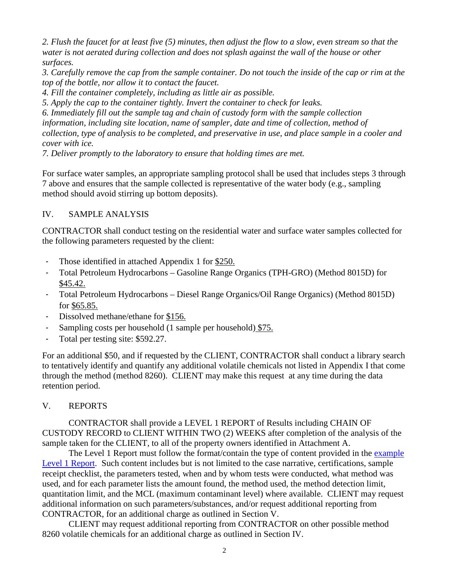*2. Flush the faucet for at least five (5) minutes, then adjust the flow to a slow, even stream so that the water is not aerated during collection and does not splash against the wall of the house or other surfaces.* 

*3. Carefully remove the cap from the sample container. Do not touch the inside of the cap or rim at the top of the bottle, nor allow it to contact the faucet.* 

*4. Fill the container completely, including as little air as possible.* 

*5. Apply the cap to the container tightly. Invert the container to check for leaks.* 

*6. Immediately fill out the sample tag and chain of custody form with the sample collection information, including site location, name of sampler, date and time of collection, method of collection, type of analysis to be completed, and preservative in use, and place sample in a cooler and cover with ice.* 

*7. Deliver promptly to the laboratory to ensure that holding times are met.* 

For surface water samples, an appropriate sampling protocol shall be used that includes steps 3 through 7 above and ensures that the sample collected is representative of the water body (e.g., sampling method should avoid stirring up bottom deposits).

## IV. SAMPLE ANALYSIS

CONTRACTOR shall conduct testing on the residential water and surface water samples collected for the following parameters requested by the client:

- Those identified in attached Appendix 1 for \$250.
- Total Petroleum Hydrocarbons Gasoline Range Organics (TPH-GRO) (Method 8015D) for \$45.42.
- Total Petroleum Hydrocarbons Diesel Range Organics/Oil Range Organics) (Method 8015D) for \$65.85.
- Dissolved methane/ethane for \$156.
- Sampling costs per household (1 sample per household) \$75.
- Total per testing site: \$592.27.

For an additional \$50, and if requested by the CLIENT, CONTRACTOR shall conduct a library search to tentatively identify and quantify any additional volatile chemicals not listed in Appendix I that come through the method (method 8260). CLIENT may make this request at any time during the data retention period.

### V. REPORTS

CONTRACTOR shall provide a LEVEL 1 REPORT of Results including CHAIN OF CUSTODY RECORD to CLIENT WITHIN TWO (2) WEEKS after completion of the analysis of the sample taken for the CLIENT, to all of the property owners identified in Attachment A.

The Level 1 Report must follow the format/contain the type of content provided in the example Level 1 Report. Such content includes but is not limited to the case narrative, certifications, sample receipt checklist, the parameters tested, when and by whom tests were conducted, what method was used, and for each parameter lists the amount found, the method used, the method detection limit, quantitation limit, and the MCL (maximum contaminant level) where available. CLIENT may request additional information on such parameters/substances, and/or request additional reporting from CONTRACTOR, for an additional charge as outlined in Section V.

CLIENT may request additional reporting from CONTRACTOR on other possible method 8260 volatile chemicals for an additional charge as outlined in Section IV.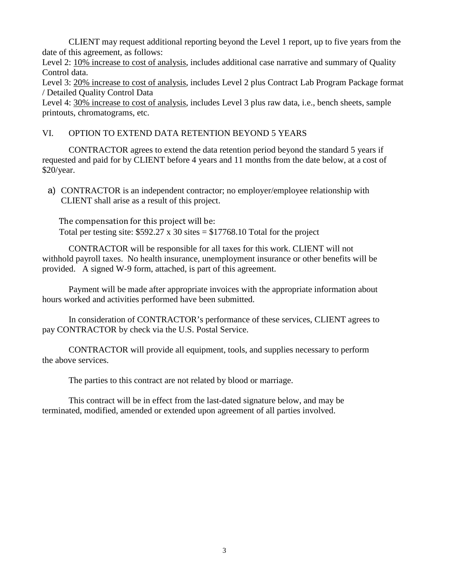CLIENT may request additional reporting beyond the Level 1 report, up to five years from the date of this agreement, as follows:

Level 2: 10% increase to cost of analysis, includes additional case narrative and summary of Quality Control data.

Level 3: 20% increase to cost of analysis, includes Level 2 plus Contract Lab Program Package format / Detailed Quality Control Data

Level 4:  $30\%$  increase to cost of analysis, includes Level 3 plus raw data, i.e., bench sheets, sample printouts, chromatograms, etc.

### VI. OPTION TO EXTEND DATA RETENTION BEYOND 5 YEARS

CONTRACTOR agrees to extend the data retention period beyond the standard 5 years if requested and paid for by CLIENT before 4 years and 11 months from the date below, at a cost of  $$20/year.$ 

a) CONTRACTOR is an independent contractor; no employer/employee relationship with CLIENT shall arise as a result of this project.

The compensation for this project will be: Total per testing site:  $$592.27 \times 30 \text{ sites} = $17768.10 \text{ Total for the project}$ 

CONTRACTOR will be responsible for all taxes for this work. CLIENT will not withhold payroll taxes. No health insurance, unemployment insurance or other benefits will be provided. A signed W-9 form, attached, is part of this agreement.

Payment will be made after appropriate invoices with the appropriate information about hours worked and activities performed have been submitted.

In consideration of CONTRACTOR's performance of these services, CLIENT agrees to pay CONTRACTOR by check via the U.S. Postal Service.

CONTRACTOR will provide all equipment, tools, and supplies necessary to perform the above services.

The parties to this contract are not related by blood or marriage.

This contract will be in effect from the last-dated signature below, and may be terminated, modified, amended or extended upon agreement of all parties involved.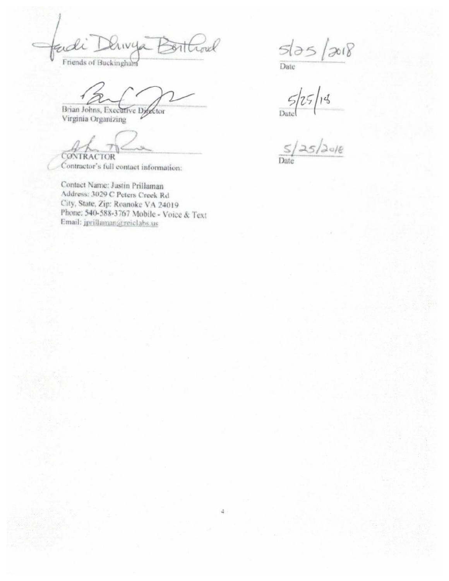adi LIVUA  $311$ Friends of Buckingham

Brian Johns, Executive Director Virginia Organizing

CONTRACTOR

Contractor's full contact information:

Contact Name: Justin Prillaman Address: 3029 C Peters Creek Rd City, State, Zip: Roanoke VA 24019 Phone: 540-588-3767 Mobile - Voice & Text Email: jprillaman@reiclabs.us

 $\frac{5135}{\text{Date}}$  $2018$ 

 $5/25/14$ <br>Date  $\frac{5/25/2016}{20}$ 

Date